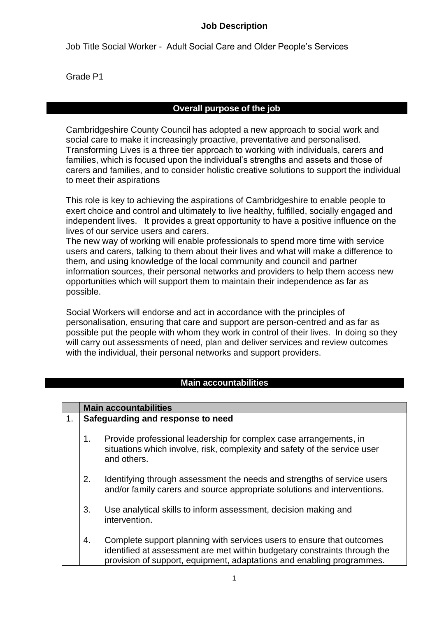#### **Job Description**

Job Title Social Worker - Adult Social Care and Older People's Services

Grade P1

## **Overall purpose of the job**

Cambridgeshire County Council has adopted a new approach to social work and social care to make it increasingly proactive, preventative and personalised. Transforming Lives is a three tier approach to working with individuals, carers and families, which is focused upon the individual's strengths and assets and those of carers and families, and to consider holistic creative solutions to support the individual to meet their aspirations

This role is key to achieving the aspirations of Cambridgeshire to enable people to exert choice and control and ultimately to live healthy, fulfilled, socially engaged and independent lives. It provides a great opportunity to have a positive influence on the lives of our service users and carers.

The new way of working will enable professionals to spend more time with service users and carers, talking to them about their lives and what will make a difference to them, and using knowledge of the local community and council and partner information sources, their personal networks and providers to help them access new opportunities which will support them to maintain their independence as far as possible.

Social Workers will endorse and act in accordance with the principles of personalisation, ensuring that care and support are person-centred and as far as possible put the people with whom they work in control of their lives. In doing so they will carry out assessments of need, plan and deliver services and review outcomes with the individual, their personal networks and support providers.

## **Main accountabilities**

|    | <b>Main accountabilities</b>      |                                                                                                                                                                                                                             |  |
|----|-----------------------------------|-----------------------------------------------------------------------------------------------------------------------------------------------------------------------------------------------------------------------------|--|
| 1. | Safeguarding and response to need |                                                                                                                                                                                                                             |  |
|    | 1.                                | Provide professional leadership for complex case arrangements, in<br>situations which involve, risk, complexity and safety of the service user<br>and others.                                                               |  |
|    | 2.                                | Identifying through assessment the needs and strengths of service users<br>and/or family carers and source appropriate solutions and interventions.                                                                         |  |
|    | 3.                                | Use analytical skills to inform assessment, decision making and<br>intervention.                                                                                                                                            |  |
|    | 4.                                | Complete support planning with services users to ensure that outcomes<br>identified at assessment are met within budgetary constraints through the<br>provision of support, equipment, adaptations and enabling programmes. |  |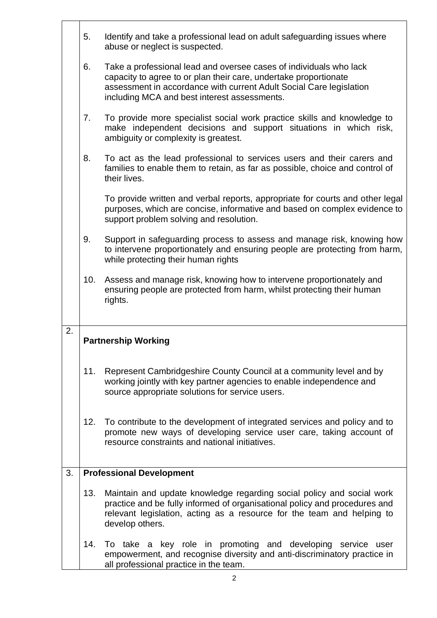|    | 5.  | Identify and take a professional lead on adult safeguarding issues where<br>abuse or neglect is suspected.                                                                                                                                                    |
|----|-----|---------------------------------------------------------------------------------------------------------------------------------------------------------------------------------------------------------------------------------------------------------------|
|    | 6.  | Take a professional lead and oversee cases of individuals who lack<br>capacity to agree to or plan their care, undertake proportionate<br>assessment in accordance with current Adult Social Care legislation<br>including MCA and best interest assessments. |
|    | 7.  | To provide more specialist social work practice skills and knowledge to<br>make independent decisions and support situations in which risk,<br>ambiguity or complexity is greatest.                                                                           |
|    | 8.  | To act as the lead professional to services users and their carers and<br>families to enable them to retain, as far as possible, choice and control of<br>their lives.                                                                                        |
|    |     | To provide written and verbal reports, appropriate for courts and other legal<br>purposes, which are concise, informative and based on complex evidence to<br>support problem solving and resolution.                                                         |
|    | 9.  | Support in safeguarding process to assess and manage risk, knowing how<br>to intervene proportionately and ensuring people are protecting from harm,<br>while protecting their human rights                                                                   |
|    | 10. | Assess and manage risk, knowing how to intervene proportionately and<br>ensuring people are protected from harm, whilst protecting their human<br>rights.                                                                                                     |
|    |     |                                                                                                                                                                                                                                                               |
| 2. |     | <b>Partnership Working</b>                                                                                                                                                                                                                                    |
|    | 11. | Represent Cambridgeshire County Council at a community level and by<br>working jointly with key partner agencies to enable independence and<br>source appropriate solutions for service users.                                                                |
|    | 12. | To contribute to the development of integrated services and policy and to<br>promote new ways of developing service user care, taking account of<br>resource constraints and national initiatives.                                                            |
| 3. |     | <b>Professional Development</b>                                                                                                                                                                                                                               |
|    | 13. | Maintain and update knowledge regarding social policy and social work<br>practice and be fully informed of organisational policy and procedures and<br>relevant legislation, acting as a resource for the team and helping to<br>develop others.              |
|    | 14. | To take a key role in promoting and developing service user<br>empowerment, and recognise diversity and anti-discriminatory practice in<br>all professional practice in the team.                                                                             |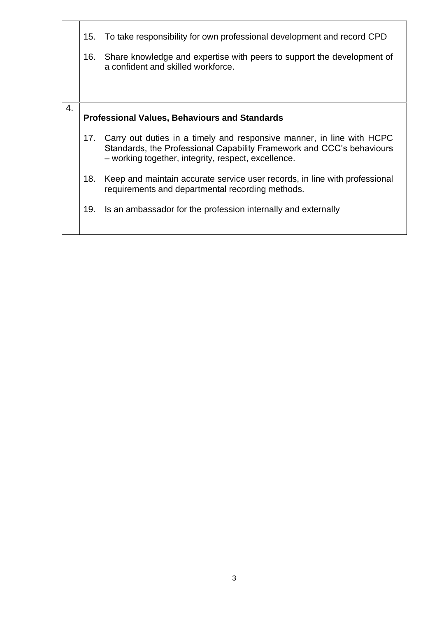|    | 15.<br>16.                                           | To take responsibility for own professional development and record CPD<br>Share knowledge and expertise with peers to support the development of<br>a confident and skilled workforce.                    |  |
|----|------------------------------------------------------|-----------------------------------------------------------------------------------------------------------------------------------------------------------------------------------------------------------|--|
|    |                                                      |                                                                                                                                                                                                           |  |
| 4. | <b>Professional Values, Behaviours and Standards</b> |                                                                                                                                                                                                           |  |
|    |                                                      | 17. Carry out duties in a timely and responsive manner, in line with HCPC<br>Standards, the Professional Capability Framework and CCC's behaviours<br>- working together, integrity, respect, excellence. |  |
|    | 18.                                                  | Keep and maintain accurate service user records, in line with professional<br>requirements and departmental recording methods.                                                                            |  |
|    | 19.                                                  | Is an ambassador for the profession internally and externally                                                                                                                                             |  |
|    |                                                      |                                                                                                                                                                                                           |  |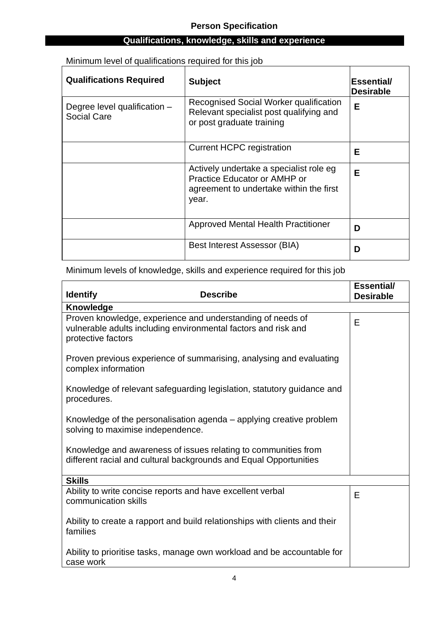# **Qualifications, knowledge, skills and experience**

Minimum level of qualifications required for this job

| <b>Qualifications Required</b>                                                                                                                                       | <b>Subject</b>                                                                                                              | <b>Essential/</b><br><b>Desirable</b> |
|----------------------------------------------------------------------------------------------------------------------------------------------------------------------|-----------------------------------------------------------------------------------------------------------------------------|---------------------------------------|
| Recognised Social Worker qualification<br>Degree level qualification -<br>Relevant specialist post qualifying and<br><b>Social Care</b><br>or post graduate training |                                                                                                                             | Е                                     |
|                                                                                                                                                                      | <b>Current HCPC registration</b>                                                                                            | Е                                     |
|                                                                                                                                                                      | Actively undertake a specialist role eg<br>Practice Educator or AMHP or<br>agreement to undertake within the first<br>year. | Е                                     |
|                                                                                                                                                                      | <b>Approved Mental Health Practitioner</b>                                                                                  | D                                     |
|                                                                                                                                                                      | Best Interest Assessor (BIA)                                                                                                | D                                     |

#### Minimum levels of knowledge, skills and experience required for this job

| <b>Identify</b>                                                                                                                                    | <b>Describe</b>                                                                                                                     | <b>Essential/</b><br><b>Desirable</b> |
|----------------------------------------------------------------------------------------------------------------------------------------------------|-------------------------------------------------------------------------------------------------------------------------------------|---------------------------------------|
| <b>Knowledge</b>                                                                                                                                   |                                                                                                                                     |                                       |
| Proven knowledge, experience and understanding of needs of<br>vulnerable adults including environmental factors and risk and<br>protective factors |                                                                                                                                     | E                                     |
| complex information                                                                                                                                | Proven previous experience of summarising, analysing and evaluating                                                                 |                                       |
| procedures.                                                                                                                                        | Knowledge of relevant safeguarding legislation, statutory guidance and                                                              |                                       |
| solving to maximise independence.                                                                                                                  | Knowledge of the personalisation agenda – applying creative problem                                                                 |                                       |
|                                                                                                                                                    | Knowledge and awareness of issues relating to communities from<br>different racial and cultural backgrounds and Equal Opportunities |                                       |
| <b>Skills</b>                                                                                                                                      |                                                                                                                                     |                                       |
| Ability to write concise reports and have excellent verbal<br>communication skills                                                                 |                                                                                                                                     | E                                     |
| families                                                                                                                                           | Ability to create a rapport and build relationships with clients and their                                                          |                                       |
| case work                                                                                                                                          | Ability to prioritise tasks, manage own workload and be accountable for                                                             |                                       |